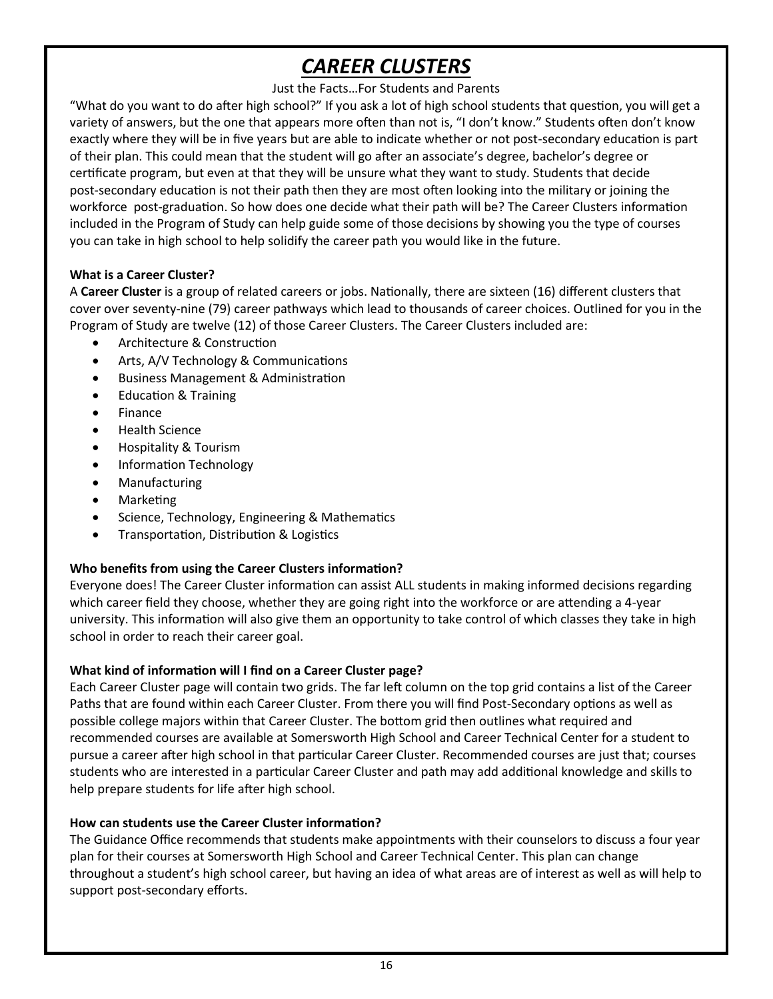# *CAREER CLUSTERS*

#### Just the Facts…For Students and Parents

"What do you want to do after high school?" If you ask a lot of high school students that question, you will get a variety of answers, but the one that appears more often than not is, "I don't know." Students often don't know exactly where they will be in five years but are able to indicate whether or not post-secondary education is part of their plan. This could mean that the student will go after an associate's degree, bachelor's degree or certificate program, but even at that they will be unsure what they want to study. Students that decide post-secondary education is not their path then they are most often looking into the military or joining the workforce post-graduation. So how does one decide what their path will be? The Career Clusters information included in the Program of Study can help guide some of those decisions by showing you the type of courses you can take in high school to help solidify the career path you would like in the future.

#### **What is a Career Cluster?**

A **Career Cluster** is a group of related careers or jobs. Nationally, there are sixteen (16) different clusters that cover over seventy-nine (79) career pathways which lead to thousands of career choices. Outlined for you in the Program of Study are twelve (12) of those Career Clusters. The Career Clusters included are:

- Architecture & Construction
- Arts, A/V Technology & Communications
- Business Management & Administration
- Education & Training
- Finance
- **•** Health Science
- Hospitality & Tourism
- Information Technology
- Manufacturing
- Marketing
- Science, Technology, Engineering & Mathematics
- **•** Transportation, Distribution & Logistics

#### **Who benefits from using the Career Clusters information?**

Everyone does! The Career Cluster information can assist ALL students in making informed decisions regarding which career field they choose, whether they are going right into the workforce or are attending a 4-year university. This information will also give them an opportunity to take control of which classes they take in high school in order to reach their career goal.

#### **What kind of information will I find on a Career Cluster page?**

Each Career Cluster page will contain two grids. The far left column on the top grid contains a list of the Career Paths that are found within each Career Cluster. From there you will find Post-Secondary options as well as possible college majors within that Career Cluster. The bottom grid then outlines what required and recommended courses are available at Somersworth High School and Career Technical Center for a student to pursue a career after high school in that particular Career Cluster. Recommended courses are just that; courses students who are interested in a particular Career Cluster and path may add additional knowledge and skills to help prepare students for life after high school.

#### **How can students use the Career Cluster information?**

The Guidance Office recommends that students make appointments with their counselors to discuss a four year plan for their courses at Somersworth High School and Career Technical Center. This plan can change throughout a student's high school career, but having an idea of what areas are of interest as well as will help to support post-secondary efforts.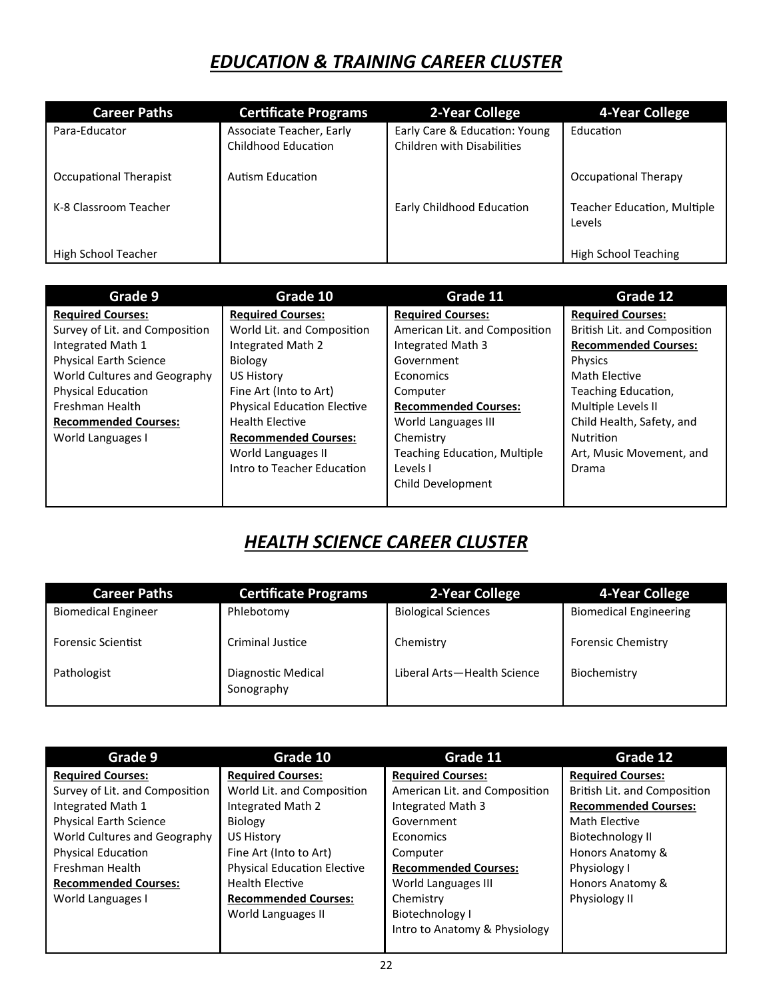### *EDUCATION & TRAINING CAREER CLUSTER*

| <b>Career Paths</b>    | <b>Certificate Programs</b>                     | 2-Year College                                              | 4-Year College                               |
|------------------------|-------------------------------------------------|-------------------------------------------------------------|----------------------------------------------|
| Para-Educator          | Associate Teacher, Early<br>Childhood Education | Early Care & Education: Young<br>Children with Disabilities | Education                                    |
| Occupational Therapist | Autism Education                                |                                                             | Occupational Therapy                         |
| K-8 Classroom Teacher  |                                                 | Early Childhood Education                                   | <b>Teacher Education, Multiple</b><br>Levels |
| High School Teacher    |                                                 |                                                             | High School Teaching                         |

| Grade 9                        | Grade 10                           | Grade 11                            | Grade 12                     |
|--------------------------------|------------------------------------|-------------------------------------|------------------------------|
| <b>Required Courses:</b>       | <b>Required Courses:</b>           | <b>Required Courses:</b>            | <b>Required Courses:</b>     |
| Survey of Lit. and Composition | World Lit. and Composition         | American Lit. and Composition       | British Lit. and Composition |
| Integrated Math 1              | Integrated Math 2                  | Integrated Math 3                   | <b>Recommended Courses:</b>  |
| <b>Physical Earth Science</b>  | <b>Biology</b>                     | Government                          | Physics                      |
| World Cultures and Geography   | <b>US History</b>                  | <b>Economics</b>                    | Math Elective                |
| <b>Physical Education</b>      | Fine Art (Into to Art)             | Computer                            | Teaching Education,          |
| Freshman Health                | <b>Physical Education Elective</b> | <b>Recommended Courses:</b>         | Multiple Levels II           |
| <b>Recommended Courses:</b>    | <b>Health Elective</b>             | World Languages III                 | Child Health, Safety, and    |
| World Languages I              | <b>Recommended Courses:</b>        | Chemistry                           | <b>Nutrition</b>             |
|                                | World Languages II                 | <b>Teaching Education, Multiple</b> | Art, Music Movement, and     |
|                                | Intro to Teacher Education         | Levels I                            | Drama                        |
|                                |                                    | Child Development                   |                              |
|                                |                                    |                                     |                              |

# *HEALTH SCIENCE CAREER CLUSTER*

| <b>Career Paths</b>        | <b>Certificate Programs</b>      | 2-Year College              | 4-Year College                |
|----------------------------|----------------------------------|-----------------------------|-------------------------------|
| <b>Biomedical Engineer</b> | Phlebotomy                       | <b>Biological Sciences</b>  | <b>Biomedical Engineering</b> |
| <b>Forensic Scientist</b>  | Criminal Justice                 | Chemistry                   | <b>Forensic Chemistry</b>     |
| Pathologist                | Diagnostic Medical<br>Sonography | Liberal Arts-Health Science | Biochemistry                  |

| Grade 9                        | Grade 10                           | Grade 11                      | Grade 12                     |
|--------------------------------|------------------------------------|-------------------------------|------------------------------|
| <b>Required Courses:</b>       | <b>Required Courses:</b>           | <b>Required Courses:</b>      | <b>Required Courses:</b>     |
| Survey of Lit. and Composition | World Lit. and Composition         | American Lit. and Composition | British Lit. and Composition |
| Integrated Math 1              | Integrated Math 2                  | Integrated Math 3             | <b>Recommended Courses:</b>  |
| <b>Physical Earth Science</b>  | Biology                            | Government                    | Math Elective                |
| World Cultures and Geography   | <b>US History</b>                  | Economics                     | Biotechnology II             |
| <b>Physical Education</b>      | Fine Art (Into to Art)             | Computer                      | Honors Anatomy &             |
| Freshman Health                | <b>Physical Education Elective</b> | <b>Recommended Courses:</b>   | Physiology I                 |
| <b>Recommended Courses:</b>    | <b>Health Elective</b>             | World Languages III           | Honors Anatomy &             |
| World Languages I              | <b>Recommended Courses:</b>        | Chemistry                     | Physiology II                |
|                                | World Languages II                 | Biotechnology I               |                              |
|                                |                                    | Intro to Anatomy & Physiology |                              |
|                                |                                    |                               |                              |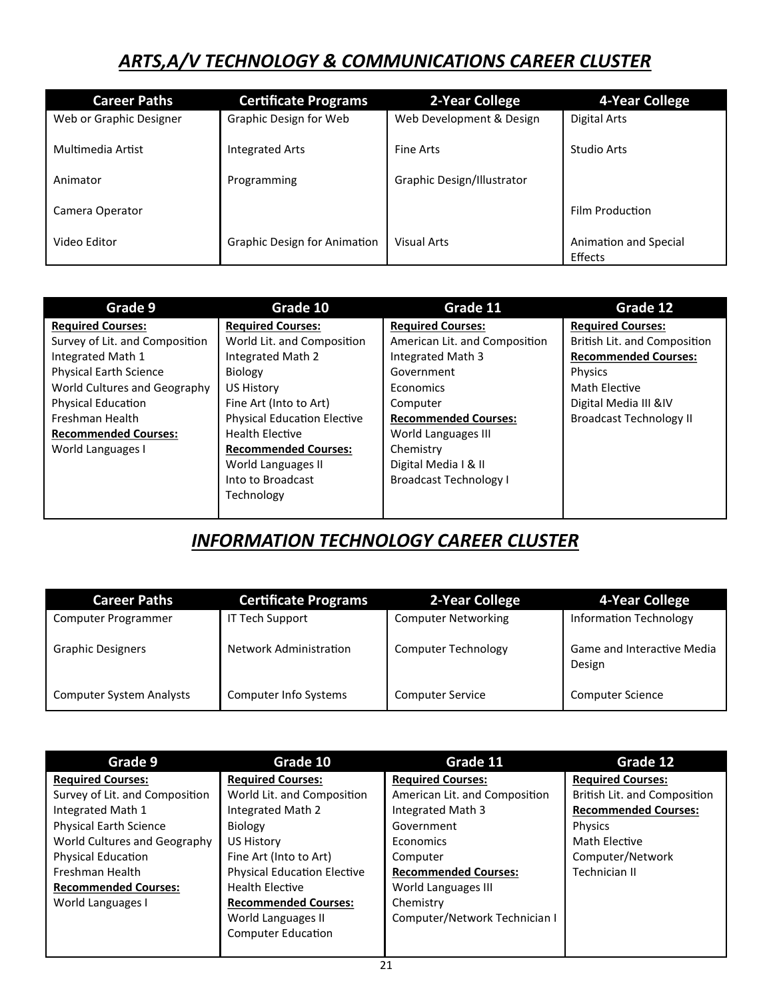# *ARTS,A/V TECHNOLOGY & COMMUNICATIONS CAREER CLUSTER*

| <b>Career Paths</b>     | <b>Certificate Programs</b>         | 2-Year College             | 4-Year College                   |
|-------------------------|-------------------------------------|----------------------------|----------------------------------|
| Web or Graphic Designer | Graphic Design for Web              | Web Development & Design   | Digital Arts                     |
| Multimedia Artist       | <b>Integrated Arts</b>              | <b>Fine Arts</b>           | Studio Arts                      |
| Animator                | Programming                         | Graphic Design/Illustrator |                                  |
| Camera Operator         |                                     |                            | Film Production                  |
| Video Editor            | <b>Graphic Design for Animation</b> | <b>Visual Arts</b>         | Animation and Special<br>Effects |

| Grade 9                        | Grade 10                           | Grade 11                      | Grade 12                       |
|--------------------------------|------------------------------------|-------------------------------|--------------------------------|
| <b>Required Courses:</b>       | <b>Required Courses:</b>           | <b>Required Courses:</b>      | <b>Required Courses:</b>       |
| Survey of Lit. and Composition | World Lit. and Composition         | American Lit. and Composition | British Lit. and Composition   |
| Integrated Math 1              | Integrated Math 2                  | Integrated Math 3             | <b>Recommended Courses:</b>    |
| <b>Physical Earth Science</b>  | Biology                            | Government                    | Physics                        |
| World Cultures and Geography   | <b>US History</b>                  | Economics                     | Math Elective                  |
| <b>Physical Education</b>      | Fine Art (Into to Art)             | Computer                      | Digital Media III &IV          |
| Freshman Health                | <b>Physical Education Elective</b> | <b>Recommended Courses:</b>   | <b>Broadcast Technology II</b> |
| <b>Recommended Courses:</b>    | <b>Health Elective</b>             | World Languages III           |                                |
| World Languages I              | <b>Recommended Courses:</b>        | Chemistry                     |                                |
|                                | World Languages II                 | Digital Media I & II          |                                |
|                                | Into to Broadcast                  | <b>Broadcast Technology I</b> |                                |
|                                | Technology                         |                               |                                |
|                                |                                    |                               |                                |

### *INFORMATION TECHNOLOGY CAREER CLUSTER*

| <b>Career Paths</b>             | <b>Certificate Programs</b>   | 2-Year College             | 4-Year College                       |
|---------------------------------|-------------------------------|----------------------------|--------------------------------------|
| Computer Programmer             | <b>IT Tech Support</b>        | <b>Computer Networking</b> | <b>Information Technology</b>        |
| <b>Graphic Designers</b>        | <b>Network Administration</b> | Computer Technology        | Game and Interactive Media<br>Design |
| <b>Computer System Analysts</b> | Computer Info Systems         | <b>Computer Service</b>    | <b>Computer Science</b>              |

| Grade 9                        | Grade 10                           | Grade 11                      | Grade 12                     |
|--------------------------------|------------------------------------|-------------------------------|------------------------------|
| <b>Required Courses:</b>       | <b>Required Courses:</b>           | <b>Required Courses:</b>      | <b>Required Courses:</b>     |
| Survey of Lit. and Composition | World Lit. and Composition         | American Lit. and Composition | British Lit. and Composition |
| Integrated Math 1              | Integrated Math 2                  | Integrated Math 3             | <b>Recommended Courses:</b>  |
| <b>Physical Earth Science</b>  | Biology                            | Government                    | Physics                      |
| World Cultures and Geography   | US History                         | Economics                     | Math Elective                |
| Physical Education             | Fine Art (Into to Art)             | Computer                      | Computer/Network             |
| Freshman Health                | <b>Physical Education Elective</b> | <b>Recommended Courses:</b>   | Technician II                |
| <b>Recommended Courses:</b>    | <b>Health Elective</b>             | World Languages III           |                              |
| World Languages I              | <b>Recommended Courses:</b>        | Chemistry                     |                              |
|                                | World Languages II                 | Computer/Network Technician I |                              |
|                                | <b>Computer Education</b>          |                               |                              |
|                                |                                    |                               |                              |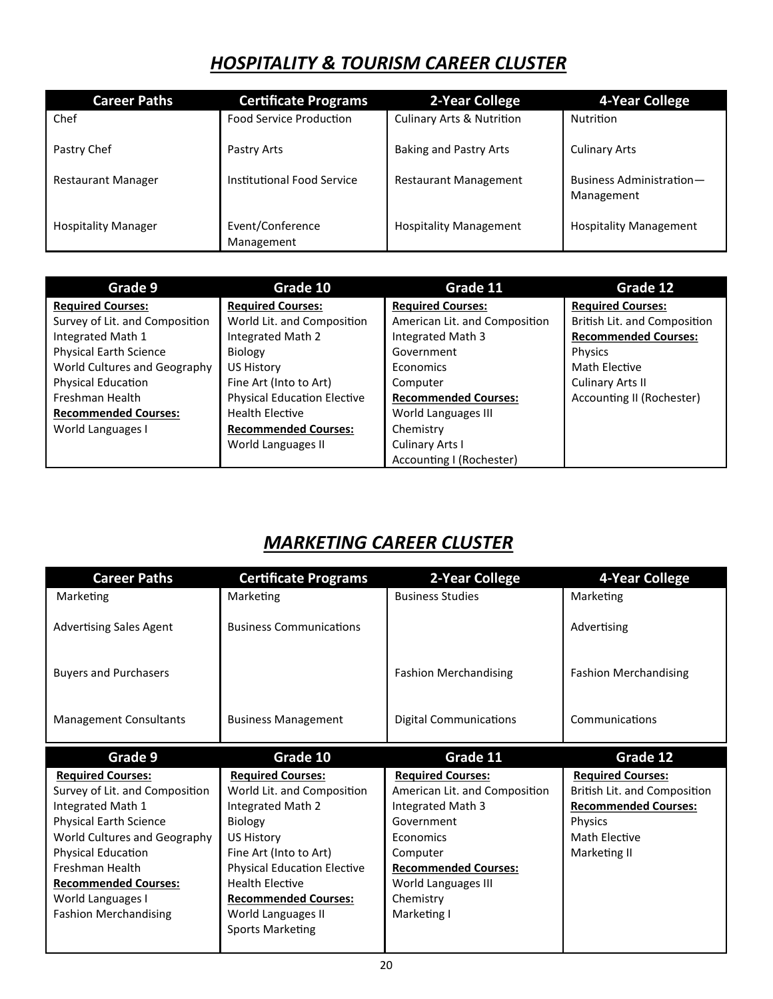# *HOSPITALITY & TOURISM CAREER CLUSTER*

| <b>Career Paths</b>        | <b>Certificate Programs</b>    | 2-Year College                       | 4-Year College                         |
|----------------------------|--------------------------------|--------------------------------------|----------------------------------------|
| Chef                       | <b>Food Service Production</b> | <b>Culinary Arts &amp; Nutrition</b> | <b>Nutrition</b>                       |
| Pastry Chef                | Pastry Arts                    | <b>Baking and Pastry Arts</b>        | <b>Culinary Arts</b>                   |
| <b>Restaurant Manager</b>  | Institutional Food Service     | <b>Restaurant Management</b>         | Business Administration-<br>Management |
| <b>Hospitality Manager</b> | Event/Conference<br>Management | <b>Hospitality Management</b>        | <b>Hospitality Management</b>          |

| Grade 9                        | Grade 10                           | Grade 11                      | Grade 12                     |
|--------------------------------|------------------------------------|-------------------------------|------------------------------|
| <b>Required Courses:</b>       | <b>Required Courses:</b>           | <b>Required Courses:</b>      | <b>Required Courses:</b>     |
| Survey of Lit. and Composition | World Lit. and Composition         | American Lit. and Composition | British Lit. and Composition |
| Integrated Math 1              | Integrated Math 2                  | Integrated Math 3             | <b>Recommended Courses:</b>  |
| <b>Physical Earth Science</b>  | <b>Biology</b>                     | Government                    | Physics                      |
| World Cultures and Geography   | <b>US History</b>                  | Economics                     | Math Elective                |
| <b>Physical Education</b>      | Fine Art (Into to Art)             | Computer                      | Culinary Arts II             |
| Freshman Health                | <b>Physical Education Elective</b> | <b>Recommended Courses:</b>   | Accounting II (Rochester)    |
| <b>Recommended Courses:</b>    | <b>Health Elective</b>             | World Languages III           |                              |
| World Languages I              | <b>Recommended Courses:</b>        | Chemistry                     |                              |
|                                | World Languages II                 | Culinary Arts I               |                              |
|                                |                                    | Accounting I (Rochester)      |                              |

# *MARKETING CAREER CLUSTER*

| <b>Career Paths</b>            | <b>Certificate Programs</b>        | 2-Year College                | 4-Year College               |
|--------------------------------|------------------------------------|-------------------------------|------------------------------|
| Marketing                      | Marketing                          | <b>Business Studies</b>       | Marketing                    |
| <b>Advertising Sales Agent</b> | <b>Business Communications</b>     |                               | Advertising                  |
| <b>Buyers and Purchasers</b>   |                                    | <b>Fashion Merchandising</b>  | <b>Fashion Merchandising</b> |
| <b>Management Consultants</b>  | <b>Business Management</b>         | <b>Digital Communications</b> | Communications               |
| Grade 9                        | Grade 10                           | Grade 11                      | Grade 12                     |
| <b>Required Courses:</b>       | <b>Required Courses:</b>           | <b>Required Courses:</b>      | <b>Required Courses:</b>     |
|                                |                                    |                               |                              |
| Survey of Lit. and Composition | World Lit. and Composition         | American Lit. and Composition | British Lit. and Composition |
| Integrated Math 1              | Integrated Math 2                  | Integrated Math 3             | <b>Recommended Courses:</b>  |
| <b>Physical Earth Science</b>  | Biology                            | Government                    | Physics                      |
| World Cultures and Geography   | US History                         | Economics                     | Math Elective                |
| Physical Education             | Fine Art (Into to Art)             | Computer                      | Marketing II                 |
| Freshman Health                | <b>Physical Education Elective</b> | <b>Recommended Courses:</b>   |                              |
| <b>Recommended Courses:</b>    | <b>Health Elective</b>             | World Languages III           |                              |
| World Languages I              | <b>Recommended Courses:</b>        | Chemistry                     |                              |
| <b>Fashion Merchandising</b>   | World Languages II                 | Marketing I                   |                              |
|                                | <b>Sports Marketing</b>            |                               |                              |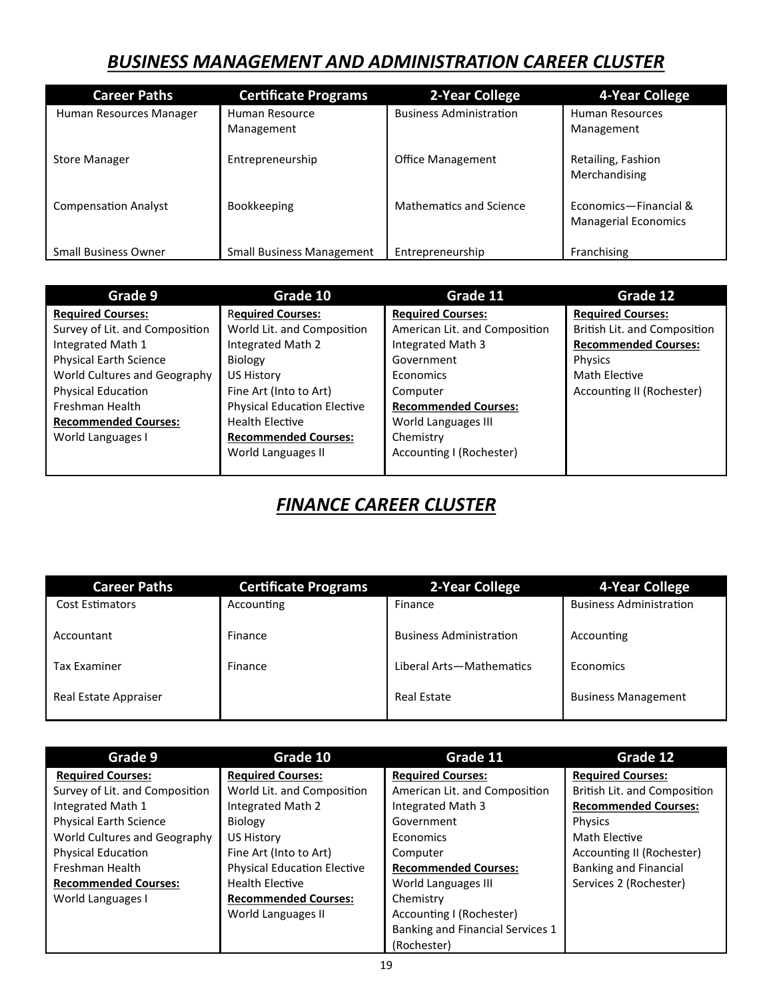### *BUSINESS MANAGEMENT AND ADMINISTRATION CAREER CLUSTER*

| <b>Career Paths</b>         | <b>Certificate Programs</b>      | 2-Year College                 | 4-Year College                                       |
|-----------------------------|----------------------------------|--------------------------------|------------------------------------------------------|
| Human Resources Manager     | Human Resource<br>Management     | <b>Business Administration</b> | Human Resources<br>Management                        |
| <b>Store Manager</b>        | Entrepreneurship                 | <b>Office Management</b>       | Retailing, Fashion<br>Merchandising                  |
| <b>Compensation Analyst</b> | Bookkeeping                      | <b>Mathematics and Science</b> | Economics-Financial &<br><b>Managerial Economics</b> |
| <b>Small Business Owner</b> | <b>Small Business Management</b> | Entrepreneurship               | Franchising                                          |

| Grade 9                        | Grade 10                           | Grade 11                      | Grade 12                     |
|--------------------------------|------------------------------------|-------------------------------|------------------------------|
| <b>Required Courses:</b>       | <b>Required Courses:</b>           | <b>Required Courses:</b>      | <b>Required Courses:</b>     |
| Survey of Lit. and Composition | World Lit. and Composition         | American Lit. and Composition | British Lit. and Composition |
| Integrated Math 1              | Integrated Math 2                  | Integrated Math 3             | <b>Recommended Courses:</b>  |
| <b>Physical Earth Science</b>  | Biology                            | Government                    | <b>Physics</b>               |
| World Cultures and Geography   | US History                         | Economics                     | Math Elective                |
| Physical Education             | Fine Art (Into to Art)             | Computer                      | Accounting II (Rochester)    |
| Freshman Health                | <b>Physical Education Elective</b> | <b>Recommended Courses:</b>   |                              |
| <b>Recommended Courses:</b>    | <b>Health Elective</b>             | World Languages III           |                              |
| World Languages I              | <b>Recommended Courses:</b>        | Chemistry                     |                              |
|                                | World Languages II                 | Accounting I (Rochester)      |                              |
|                                |                                    |                               |                              |

# *FINANCE CAREER CLUSTER*

| <b>Career Paths</b>    | <b>Certificate Programs</b> | 2-Year College                 | 4-Year College                 |
|------------------------|-----------------------------|--------------------------------|--------------------------------|
| <b>Cost Estimators</b> | Accounting                  | Finance                        | <b>Business Administration</b> |
| Accountant             | Finance                     | <b>Business Administration</b> | Accounting                     |
| <b>Tax Examiner</b>    | Finance                     | Liberal Arts-Mathematics       | Economics                      |
| Real Estate Appraiser  |                             | <b>Real Estate</b>             | <b>Business Management</b>     |

| Grade 9                        | Grade 10                           | Grade 11                         | Grade 12                     |
|--------------------------------|------------------------------------|----------------------------------|------------------------------|
| <b>Required Courses:</b>       | <b>Required Courses:</b>           | <b>Required Courses:</b>         | <b>Required Courses:</b>     |
| Survey of Lit. and Composition | World Lit. and Composition         | American Lit. and Composition    | British Lit. and Composition |
| Integrated Math 1              | Integrated Math 2                  | Integrated Math 3                | <b>Recommended Courses:</b>  |
| <b>Physical Earth Science</b>  | Biology                            | Government                       | Physics                      |
| World Cultures and Geography   | <b>US History</b>                  | Economics                        | Math Elective                |
| Physical Education             | Fine Art (Into to Art)             | Computer                         | Accounting II (Rochester)    |
| Freshman Health                | <b>Physical Education Elective</b> | <b>Recommended Courses:</b>      | <b>Banking and Financial</b> |
| <b>Recommended Courses:</b>    | <b>Health Elective</b>             | World Languages III              | Services 2 (Rochester)       |
| World Languages I              | <b>Recommended Courses:</b>        | Chemistry                        |                              |
|                                | World Languages II                 | Accounting I (Rochester)         |                              |
|                                |                                    | Banking and Financial Services 1 |                              |
|                                |                                    | (Rochester)                      |                              |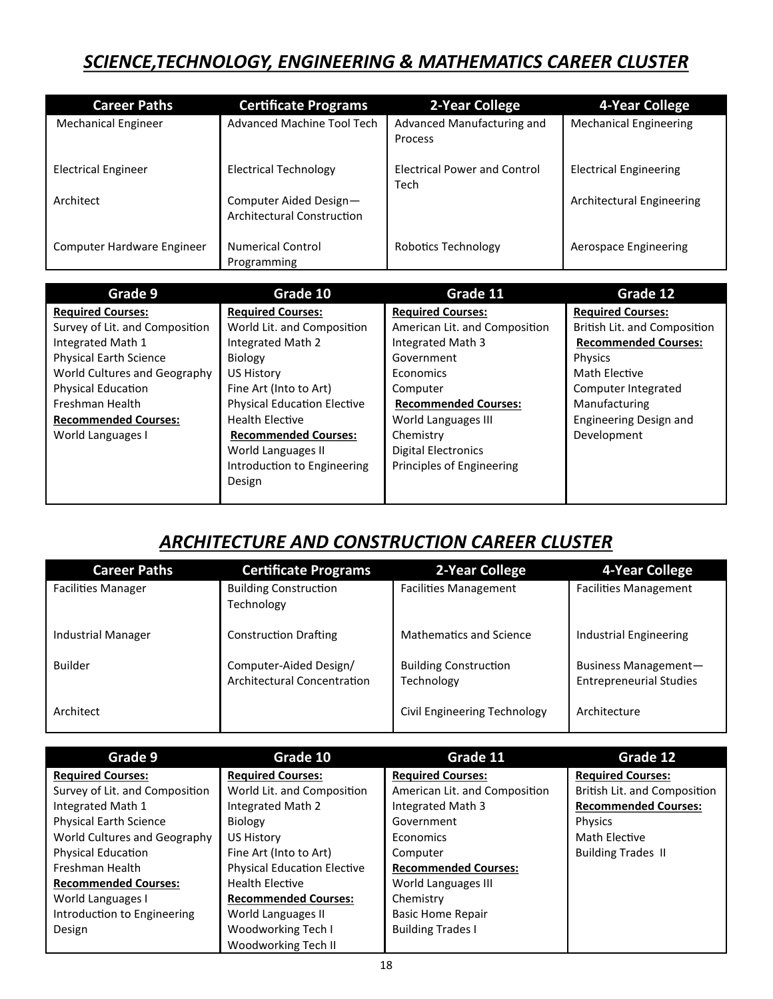### *SCIENCE,TECHNOLOGY, ENGINEERING & MATHEMATICS CAREER CLUSTER*

| <b>Career Paths</b>        | <b>Certificate Programs</b>                          | 2-Year College                               | 4-Year College                |
|----------------------------|------------------------------------------------------|----------------------------------------------|-------------------------------|
| <b>Mechanical Engineer</b> | Advanced Machine Tool Tech                           | Advanced Manufacturing and<br><b>Process</b> | <b>Mechanical Engineering</b> |
| <b>Electrical Engineer</b> | <b>Electrical Technology</b>                         | <b>Electrical Power and Control</b><br>Tech  | <b>Electrical Engineering</b> |
| Architect                  | Computer Aided Design-<br>Architectural Construction |                                              | Architectural Engineering     |
| Computer Hardware Engineer | <b>Numerical Control</b><br>Programming              | Robotics Technology                          | Aerospace Engineering         |

| Grade 9                        | Grade 10                           | Grade 11                      | Grade 12                     |
|--------------------------------|------------------------------------|-------------------------------|------------------------------|
| <b>Required Courses:</b>       | <b>Required Courses:</b>           | <b>Required Courses:</b>      | <b>Required Courses:</b>     |
| Survey of Lit. and Composition | World Lit. and Composition         | American Lit. and Composition | British Lit. and Composition |
| Integrated Math 1              | Integrated Math 2                  | Integrated Math 3             | <b>Recommended Courses:</b>  |
| <b>Physical Earth Science</b>  | <b>Biology</b>                     | Government                    | Physics                      |
| World Cultures and Geography   | US History                         | Economics                     | Math Elective                |
| <b>Physical Education</b>      | Fine Art (Into to Art)             | Computer                      | Computer Integrated          |
| Freshman Health                | <b>Physical Education Elective</b> | <b>Recommended Courses:</b>   | Manufacturing                |
| <b>Recommended Courses:</b>    | <b>Health Elective</b>             | World Languages III           | Engineering Design and       |
| World Languages I              | <b>Recommended Courses:</b>        | Chemistry                     | Development                  |
|                                | World Languages II                 | <b>Digital Electronics</b>    |                              |
|                                | Introduction to Engineering        | Principles of Engineering     |                              |
|                                | Design                             |                               |                              |
|                                |                                    |                               |                              |

# *ARCHITECTURE AND CONSTRUCTION CAREER CLUSTER*

| <b>Career Paths</b>       | <b>Certificate Programs</b>                                  | 2-Year College                             | 4-Year College                                         |
|---------------------------|--------------------------------------------------------------|--------------------------------------------|--------------------------------------------------------|
| <b>Facilities Manager</b> | <b>Building Construction</b><br>Technology                   | <b>Facilities Management</b>               | <b>Facilities Management</b>                           |
| <b>Industrial Manager</b> | <b>Construction Drafting</b>                                 | <b>Mathematics and Science</b>             | Industrial Engineering                                 |
| <b>Builder</b>            | Computer-Aided Design/<br><b>Architectural Concentration</b> | <b>Building Construction</b><br>Technology | Business Management-<br><b>Entrepreneurial Studies</b> |
| Architect                 |                                                              | Civil Engineering Technology               | Architecture                                           |

| Grade 9                        | Grade 10                           | Grade 11                      | Grade 12                     |
|--------------------------------|------------------------------------|-------------------------------|------------------------------|
| <b>Required Courses:</b>       | <b>Required Courses:</b>           | <b>Required Courses:</b>      | <b>Required Courses:</b>     |
| Survey of Lit. and Composition | World Lit. and Composition         | American Lit. and Composition | British Lit. and Composition |
| Integrated Math 1              | Integrated Math 2                  | Integrated Math 3             | <b>Recommended Courses:</b>  |
| <b>Physical Earth Science</b>  | Biology                            | Government                    | <b>Physics</b>               |
| World Cultures and Geography   | US History                         | <b>Economics</b>              | Math Elective                |
| <b>Physical Education</b>      | Fine Art (Into to Art)             | Computer                      | <b>Building Trades II</b>    |
| Freshman Health                | <b>Physical Education Elective</b> | <b>Recommended Courses:</b>   |                              |
| <b>Recommended Courses:</b>    | <b>Health Elective</b>             | World Languages III           |                              |
| World Languages I              | <b>Recommended Courses:</b>        | Chemistry                     |                              |
| Introduction to Engineering    | World Languages II                 | <b>Basic Home Repair</b>      |                              |
| Design                         | Woodworking Tech I                 | <b>Building Trades I</b>      |                              |
|                                | Woodworking Tech II                |                               |                              |